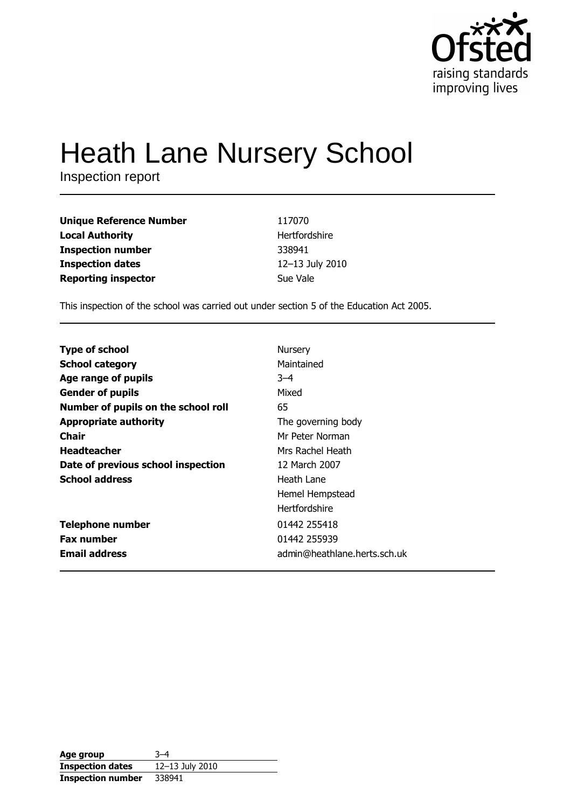

# **Heath Lane Nursery School**

Inspection report

| <b>Unique Reference Number</b> | 117070          |
|--------------------------------|-----------------|
| <b>Local Authority</b>         | Hertfordshire   |
| <b>Inspection number</b>       | 338941          |
| <b>Inspection dates</b>        | 12-13 July 2010 |
| <b>Reporting inspector</b>     | Sue Vale        |

This inspection of the school was carried out under section 5 of the Education Act 2005.

| <b>Type of school</b>               | Nursery                      |
|-------------------------------------|------------------------------|
| <b>School category</b>              | Maintained                   |
| Age range of pupils                 | $-4$                         |
| <b>Gender of pupils</b>             | Mixed                        |
| Number of pupils on the school roll | 65                           |
| <b>Appropriate authority</b>        | The governing body           |
| Chair                               | Mr Peter Norman              |
| <b>Headteacher</b>                  | Mrs Rachel Heath             |
| Date of previous school inspection  | 12 March 2007                |
| <b>School address</b>               | Heath Lane                   |
|                                     | Hemel Hempstead              |
|                                     | <b>Hertfordshire</b>         |
| <b>Telephone number</b>             | 01442 255418                 |
| <b>Fax number</b>                   | 01442 255939                 |
| <b>Email address</b>                | admin@heathlane.herts.sch.uk |

| Age group                | २–4             |
|--------------------------|-----------------|
| <b>Inspection dates</b>  | 12-13 July 2010 |
| <b>Inspection number</b> | 338941          |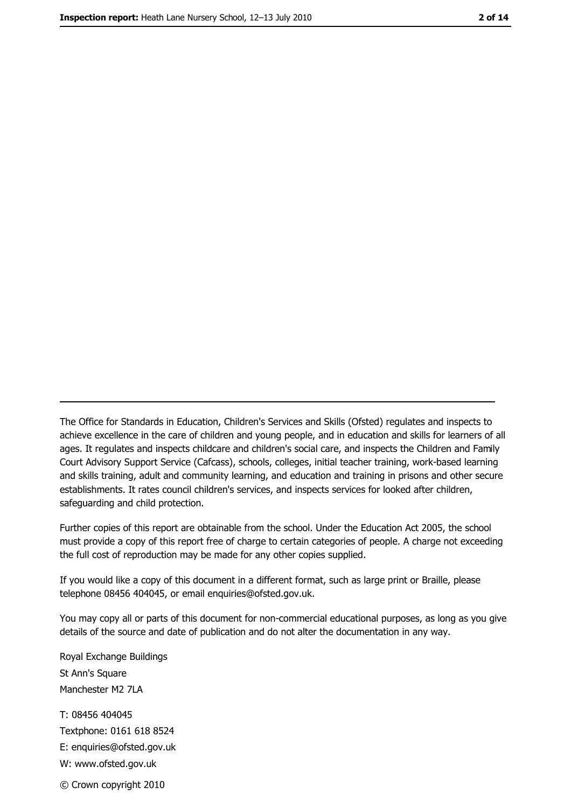The Office for Standards in Education, Children's Services and Skills (Ofsted) regulates and inspects to achieve excellence in the care of children and young people, and in education and skills for learners of all ages. It regulates and inspects childcare and children's social care, and inspects the Children and Family Court Advisory Support Service (Cafcass), schools, colleges, initial teacher training, work-based learning and skills training, adult and community learning, and education and training in prisons and other secure establishments. It rates council children's services, and inspects services for looked after children, safequarding and child protection.

Further copies of this report are obtainable from the school. Under the Education Act 2005, the school must provide a copy of this report free of charge to certain categories of people. A charge not exceeding the full cost of reproduction may be made for any other copies supplied.

If you would like a copy of this document in a different format, such as large print or Braille, please telephone 08456 404045, or email enquiries@ofsted.gov.uk.

You may copy all or parts of this document for non-commercial educational purposes, as long as you give details of the source and date of publication and do not alter the documentation in any way.

Royal Exchange Buildings St Ann's Square Manchester M2 7LA T: 08456 404045 Textphone: 0161 618 8524 E: enquiries@ofsted.gov.uk W: www.ofsted.gov.uk © Crown copyright 2010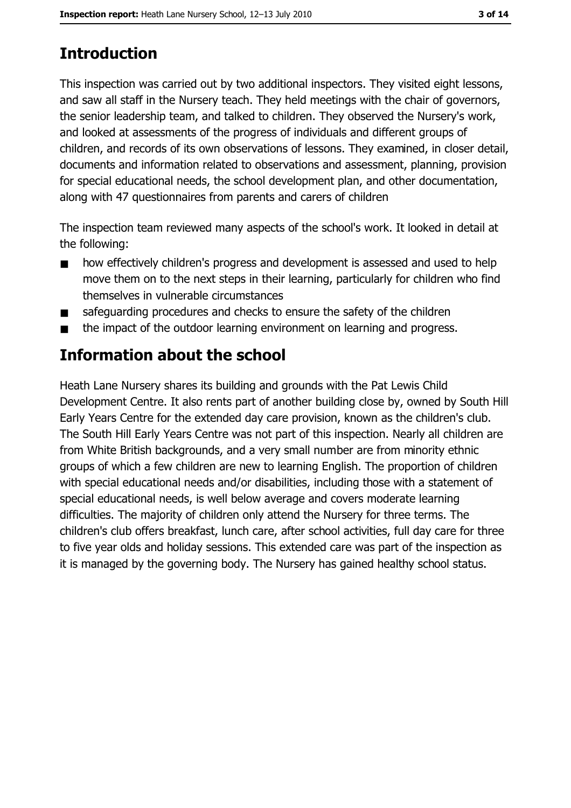# **Introduction**

This inspection was carried out by two additional inspectors. They visited eight lessons, and saw all staff in the Nursery teach. They held meetings with the chair of governors, the senior leadership team, and talked to children. They observed the Nursery's work, and looked at assessments of the progress of individuals and different groups of children, and records of its own observations of lessons. They examined, in closer detail, documents and information related to observations and assessment, planning, provision for special educational needs, the school development plan, and other documentation, along with 47 questionnaires from parents and carers of children

The inspection team reviewed many aspects of the school's work. It looked in detail at the following:

- how effectively children's progress and development is assessed and used to help  $\blacksquare$ move them on to the next steps in their learning, particularly for children who find themselves in vulnerable circumstances
- safeguarding procedures and checks to ensure the safety of the children  $\blacksquare$
- the impact of the outdoor learning environment on learning and progress.  $\blacksquare$

# Information about the school

Heath Lane Nursery shares its building and grounds with the Pat Lewis Child Development Centre. It also rents part of another building close by, owned by South Hill Early Years Centre for the extended day care provision, known as the children's club. The South Hill Early Years Centre was not part of this inspection. Nearly all children are from White British backgrounds, and a very small number are from minority ethnic groups of which a few children are new to learning English. The proportion of children with special educational needs and/or disabilities, including those with a statement of special educational needs, is well below average and covers moderate learning difficulties. The majority of children only attend the Nursery for three terms. The children's club offers breakfast, lunch care, after school activities, full day care for three to five year olds and holiday sessions. This extended care was part of the inspection as it is managed by the governing body. The Nursery has gained healthy school status.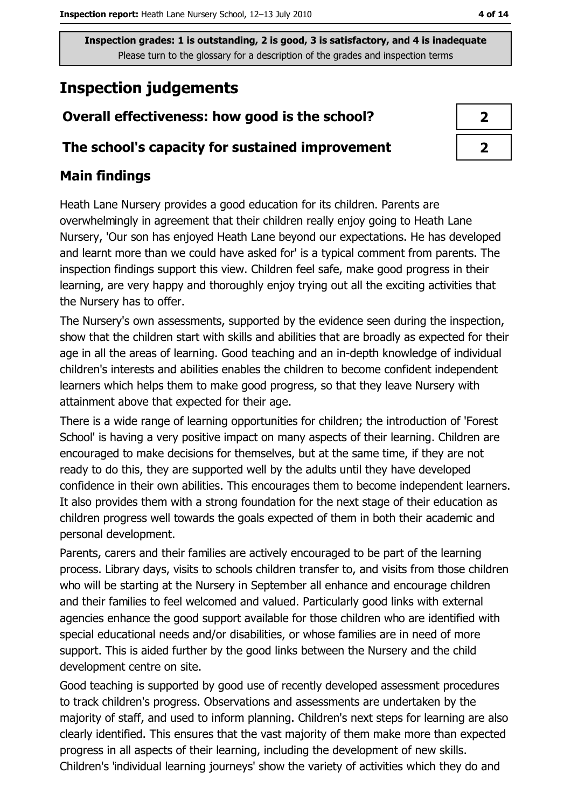# **Inspection judgements**

# Overall effectiveness: how good is the school?

### The school's capacity for sustained improvement

## **Main findings**

Heath Lane Nursery provides a good education for its children. Parents are overwhelmingly in agreement that their children really enjoy going to Heath Lane Nursery, 'Our son has enjoyed Heath Lane beyond our expectations. He has developed and learnt more than we could have asked for' is a typical comment from parents. The inspection findings support this view. Children feel safe, make good progress in their learning, are very happy and thoroughly enjoy trying out all the exciting activities that the Nursery has to offer.

The Nursery's own assessments, supported by the evidence seen during the inspection, show that the children start with skills and abilities that are broadly as expected for their age in all the areas of learning. Good teaching and an in-depth knowledge of individual children's interests and abilities enables the children to become confident independent learners which helps them to make good progress, so that they leave Nursery with attainment above that expected for their age.

There is a wide range of learning opportunities for children; the introduction of 'Forest School' is having a very positive impact on many aspects of their learning. Children are encouraged to make decisions for themselves, but at the same time, if they are not ready to do this, they are supported well by the adults until they have developed confidence in their own abilities. This encourages them to become independent learners. It also provides them with a strong foundation for the next stage of their education as children progress well towards the goals expected of them in both their academic and personal development.

Parents, carers and their families are actively encouraged to be part of the learning process. Library days, visits to schools children transfer to, and visits from those children who will be starting at the Nursery in September all enhance and encourage children and their families to feel welcomed and valued. Particularly good links with external agencies enhance the good support available for those children who are identified with special educational needs and/or disabilities, or whose families are in need of more support. This is aided further by the good links between the Nursery and the child development centre on site.

Good teaching is supported by good use of recently developed assessment procedures to track children's progress. Observations and assessments are undertaken by the majority of staff, and used to inform planning. Children's next steps for learning are also clearly identified. This ensures that the vast majority of them make more than expected progress in all aspects of their learning, including the development of new skills. Children's 'individual learning journeys' show the variety of activities which they do and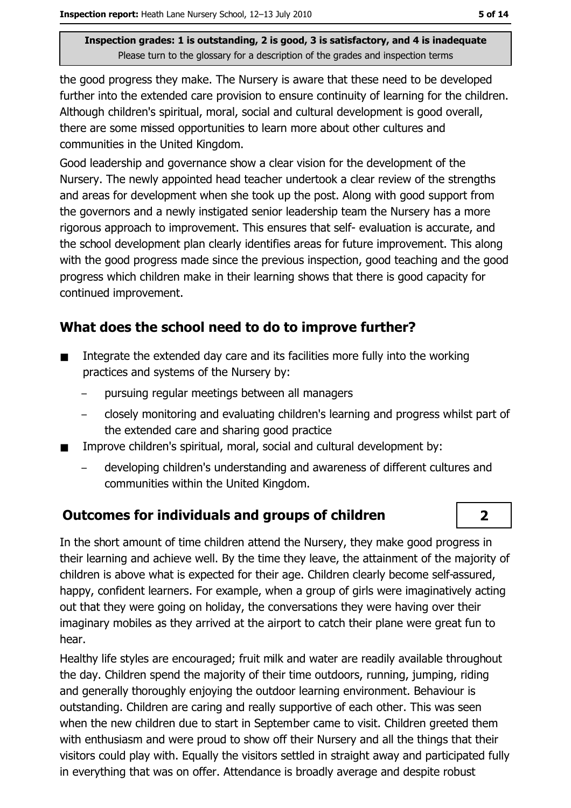the good progress they make. The Nursery is aware that these need to be developed further into the extended care provision to ensure continuity of learning for the children. Although children's spiritual, moral, social and cultural development is good overall, there are some missed opportunities to learn more about other cultures and communities in the United Kingdom.

Good leadership and governance show a clear vision for the development of the Nursery. The newly appointed head teacher undertook a clear review of the strengths and areas for development when she took up the post. Along with good support from the governors and a newly instigated senior leadership team the Nursery has a more rigorous approach to improvement. This ensures that self-evaluation is accurate, and the school development plan clearly identifies areas for future improvement. This along with the good progress made since the previous inspection, good teaching and the good progress which children make in their learning shows that there is good capacity for continued improvement.

# What does the school need to do to improve further?

- Integrate the extended day care and its facilities more fully into the working  $\blacksquare$ practices and systems of the Nursery by:
	- pursuing regular meetings between all managers
	- closely monitoring and evaluating children's learning and progress whilst part of the extended care and sharing good practice
- Improve children's spiritual, moral, social and cultural development by:  $\blacksquare$ 
	- developing children's understanding and awareness of different cultures and communities within the United Kingdom.

### **Outcomes for individuals and groups of children**

In the short amount of time children attend the Nursery, they make good progress in their learning and achieve well. By the time they leave, the attainment of the majority of children is above what is expected for their age. Children clearly become self-assured, happy, confident learners. For example, when a group of girls were imaginatively acting out that they were going on holiday, the conversations they were having over their imaginary mobiles as they arrived at the airport to catch their plane were great fun to hear.

Healthy life styles are encouraged; fruit milk and water are readily available throughout the day. Children spend the majority of their time outdoors, running, jumping, riding and generally thoroughly enjoying the outdoor learning environment. Behaviour is outstanding. Children are caring and really supportive of each other. This was seen when the new children due to start in September came to visit. Children greeted them with enthusiasm and were proud to show off their Nursery and all the things that their visitors could play with. Equally the visitors settled in straight away and participated fully in everything that was on offer. Attendance is broadly average and despite robust

 $\overline{2}$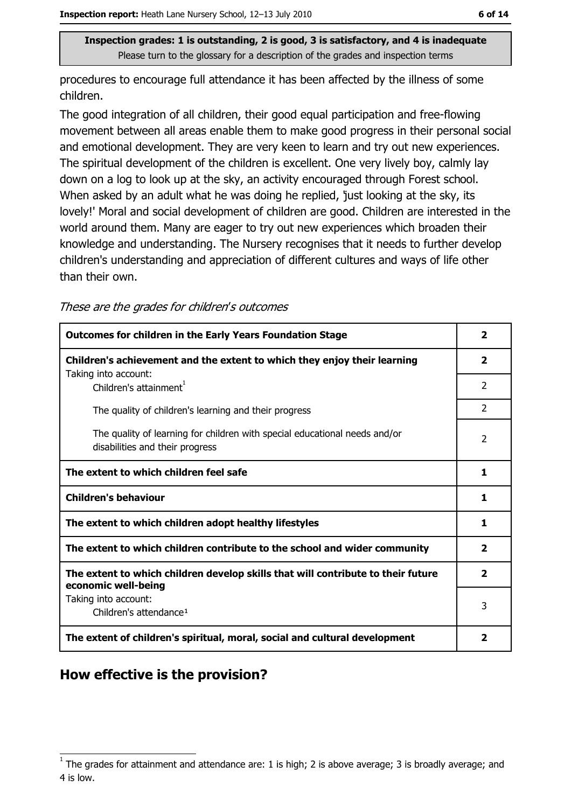procedures to encourage full attendance it has been affected by the illness of some children.

The good integration of all children, their good equal participation and free-flowing movement between all areas enable them to make good progress in their personal social and emotional development. They are very keen to learn and try out new experiences. The spiritual development of the children is excellent. One very lively boy, calmly lay down on a log to look up at the sky, an activity encouraged through Forest school. When asked by an adult what he was doing he replied, 'just looking at the sky, its lovely!' Moral and social development of children are good. Children are interested in the world around them. Many are eager to try out new experiences which broaden their knowledge and understanding. The Nursery recognises that it needs to further develop children's understanding and appreciation of different cultures and ways of life other than their own.

These are the grades for children's outcomes

| <b>Outcomes for children in the Early Years Foundation Stage</b>                                              |                |
|---------------------------------------------------------------------------------------------------------------|----------------|
| Children's achievement and the extent to which they enjoy their learning                                      | $\mathbf{2}$   |
| Taking into account:<br>Children's attainment <sup>1</sup>                                                    | $\mathcal{P}$  |
| The quality of children's learning and their progress                                                         | $\overline{2}$ |
| The quality of learning for children with special educational needs and/or<br>disabilities and their progress | 2              |
| The extent to which children feel safe                                                                        |                |
| <b>Children's behaviour</b>                                                                                   | 1              |
| The extent to which children adopt healthy lifestyles                                                         | 1              |
| The extent to which children contribute to the school and wider community                                     |                |
| The extent to which children develop skills that will contribute to their future<br>economic well-being       |                |
| Taking into account:                                                                                          | 3              |
| Children's attendance <sup>1</sup>                                                                            |                |
| The extent of children's spiritual, moral, social and cultural development                                    |                |

# How effective is the provision?

The grades for attainment and attendance are: 1 is high; 2 is above average; 3 is broadly average; and 4 is low.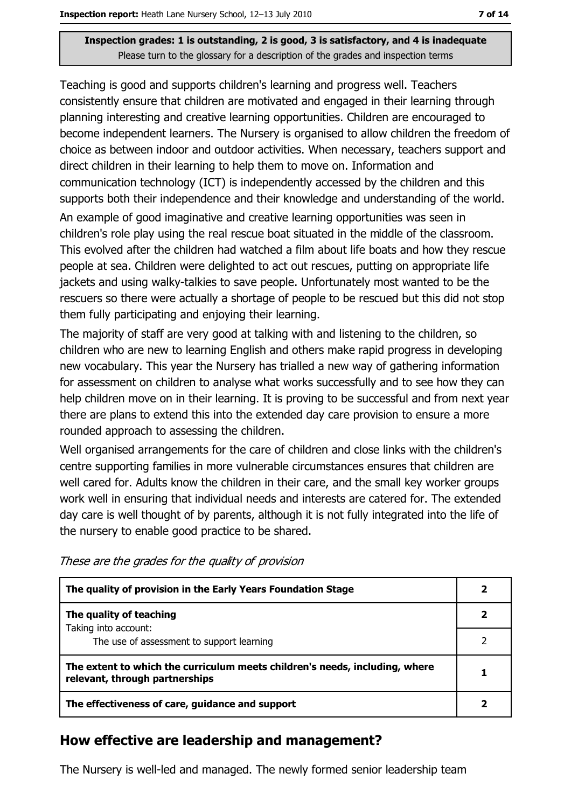Teaching is good and supports children's learning and progress well. Teachers consistently ensure that children are motivated and engaged in their learning through planning interesting and creative learning opportunities. Children are encouraged to become independent learners. The Nursery is organised to allow children the freedom of choice as between indoor and outdoor activities. When necessary, teachers support and direct children in their learning to help them to move on. Information and communication technology (ICT) is independently accessed by the children and this supports both their independence and their knowledge and understanding of the world. An example of good imaginative and creative learning opportunities was seen in children's role play using the real rescue boat situated in the middle of the classroom. This evolved after the children had watched a film about life boats and how they rescue people at sea. Children were delighted to act out rescues, putting on appropriate life jackets and using walky-talkies to save people. Unfortunately most wanted to be the rescuers so there were actually a shortage of people to be rescued but this did not stop them fully participating and enjoying their learning.

The majority of staff are very good at talking with and listening to the children, so children who are new to learning English and others make rapid progress in developing new vocabulary. This year the Nursery has trialled a new way of gathering information for assessment on children to analyse what works successfully and to see how they can help children move on in their learning. It is proving to be successful and from next year there are plans to extend this into the extended day care provision to ensure a more rounded approach to assessing the children.

Well organised arrangements for the care of children and close links with the children's centre supporting families in more vulnerable circumstances ensures that children are well cared for. Adults know the children in their care, and the small key worker groups work well in ensuring that individual needs and interests are catered for. The extended day care is well thought of by parents, although it is not fully integrated into the life of the nursery to enable good practice to be shared.

These are the grades for the quality of provision

| The quality of provision in the Early Years Foundation Stage                                                  |  |
|---------------------------------------------------------------------------------------------------------------|--|
| The quality of teaching                                                                                       |  |
| Taking into account:<br>The use of assessment to support learning                                             |  |
| The extent to which the curriculum meets children's needs, including, where<br>relevant, through partnerships |  |
| The effectiveness of care, guidance and support                                                               |  |

### How effective are leadership and management?

The Nursery is well-led and managed. The newly formed senior leadership team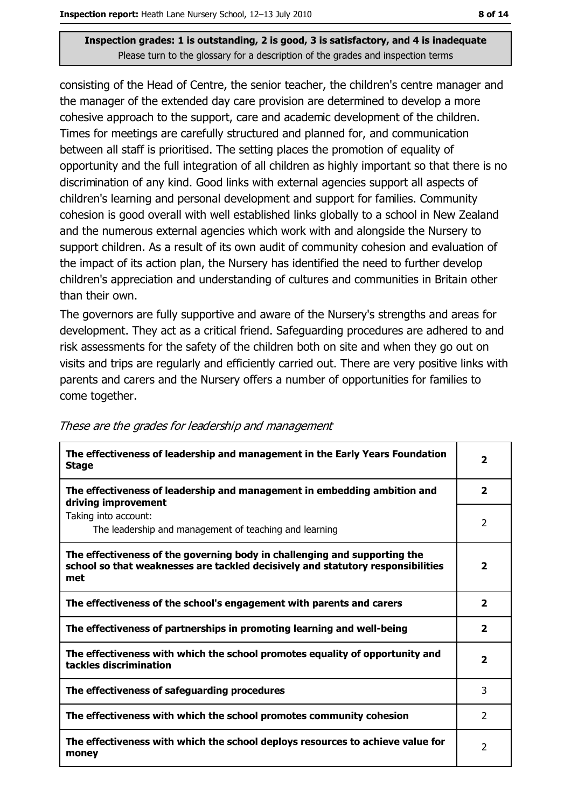consisting of the Head of Centre, the senior teacher, the children's centre manager and the manager of the extended day care provision are determined to develop a more cohesive approach to the support, care and academic development of the children. Times for meetings are carefully structured and planned for, and communication between all staff is prioritised. The setting places the promotion of equality of opportunity and the full integration of all children as highly important so that there is no discrimination of any kind. Good links with external agencies support all aspects of children's learning and personal development and support for families. Community cohesion is good overall with well established links globally to a school in New Zealand and the numerous external agencies which work with and alongside the Nursery to support children. As a result of its own audit of community cohesion and evaluation of the impact of its action plan, the Nursery has identified the need to further develop children's appreciation and understanding of cultures and communities in Britain other than their own.

The governors are fully supportive and aware of the Nursery's strengths and areas for development. They act as a critical friend. Safeguarding procedures are adhered to and risk assessments for the safety of the children both on site and when they go out on visits and trips are regularly and efficiently carried out. There are very positive links with parents and carers and the Nursery offers a number of opportunities for families to come together.

| The effectiveness of leadership and management in the Early Years Foundation<br><b>Stage</b>                                                                        | $\overline{\mathbf{2}}$ |
|---------------------------------------------------------------------------------------------------------------------------------------------------------------------|-------------------------|
| The effectiveness of leadership and management in embedding ambition and<br>driving improvement                                                                     | $\overline{\mathbf{2}}$ |
| Taking into account:<br>The leadership and management of teaching and learning                                                                                      | 2                       |
| The effectiveness of the governing body in challenging and supporting the<br>school so that weaknesses are tackled decisively and statutory responsibilities<br>met | $\mathbf{2}$            |
| The effectiveness of the school's engagement with parents and carers                                                                                                | $\mathbf{2}$            |
| The effectiveness of partnerships in promoting learning and well-being                                                                                              | 2                       |
| The effectiveness with which the school promotes equality of opportunity and<br>tackles discrimination                                                              |                         |
| The effectiveness of safeguarding procedures                                                                                                                        | 3                       |
| The effectiveness with which the school promotes community cohesion                                                                                                 | $\mathcal{P}$           |
| The effectiveness with which the school deploys resources to achieve value for<br>money                                                                             |                         |

These are the grades for leadership and management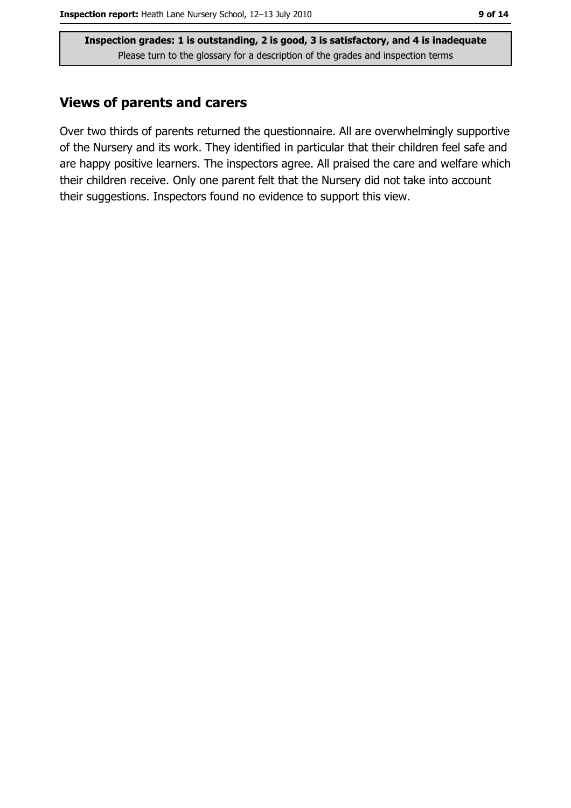## **Views of parents and carers**

Over two thirds of parents returned the questionnaire. All are overwhelmingly supportive of the Nursery and its work. They identified in particular that their children feel safe and are happy positive learners. The inspectors agree. All praised the care and welfare which their children receive. Only one parent felt that the Nursery did not take into account their suggestions. Inspectors found no evidence to support this view.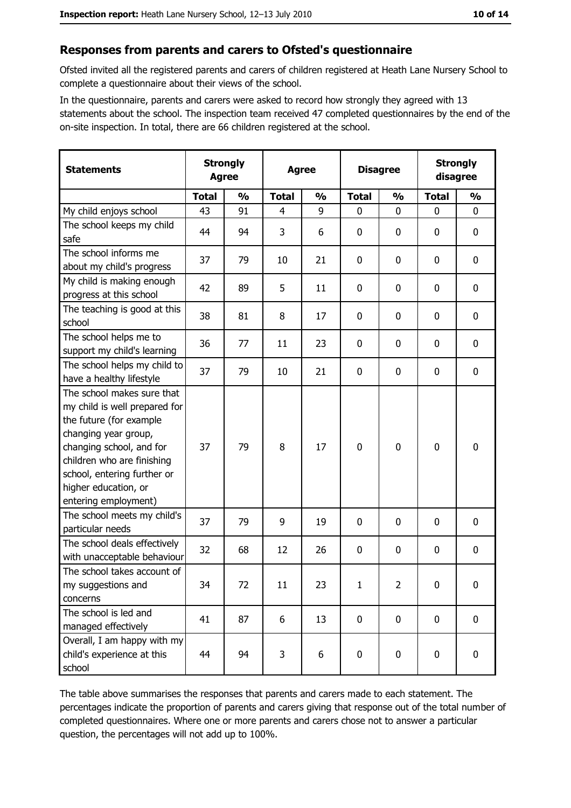## Responses from parents and carers to Ofsted's questionnaire

Ofsted invited all the registered parents and carers of children registered at Heath Lane Nursery School to complete a questionnaire about their views of the school.

In the questionnaire, parents and carers were asked to record how strongly they agreed with 13 statements about the school. The inspection team received 47 completed questionnaires by the end of the on-site inspection. In total, there are 66 children registered at the school.

| <b>Statements</b>                                                                                                                                                                                                                                       | <b>Strongly</b><br><b>Agree</b> |               | <b>Agree</b> |               | <b>Disagree</b> |                | <b>Strongly</b><br>disagree |                  |
|---------------------------------------------------------------------------------------------------------------------------------------------------------------------------------------------------------------------------------------------------------|---------------------------------|---------------|--------------|---------------|-----------------|----------------|-----------------------------|------------------|
|                                                                                                                                                                                                                                                         | <b>Total</b>                    | $\frac{0}{0}$ | <b>Total</b> | $\frac{0}{0}$ | <b>Total</b>    | $\frac{1}{2}$  | <b>Total</b>                | $\frac{1}{2}$    |
| My child enjoys school                                                                                                                                                                                                                                  | 43                              | 91            | 4            | 9             | 0               | $\Omega$       | $\Omega$                    | $\mathbf{0}$     |
| The school keeps my child<br>safe                                                                                                                                                                                                                       | 44                              | 94            | 3            | 6             | $\mathbf 0$     | 0              | 0                           | $\mathbf 0$      |
| The school informs me<br>about my child's progress                                                                                                                                                                                                      | 37                              | 79            | 10           | 21            | 0               | 0              | 0                           | 0                |
| My child is making enough<br>progress at this school                                                                                                                                                                                                    | 42                              | 89            | 5            | 11            | 0               | 0              | 0                           | 0                |
| The teaching is good at this<br>school                                                                                                                                                                                                                  | 38                              | 81            | 8            | 17            | $\mathbf 0$     | 0              | $\Omega$                    | $\mathbf 0$      |
| The school helps me to<br>support my child's learning                                                                                                                                                                                                   | 36                              | 77            | 11           | 23            | 0               | 0              | 0                           | 0                |
| The school helps my child to<br>have a healthy lifestyle                                                                                                                                                                                                | 37                              | 79            | 10           | 21            | $\mathbf 0$     | 0              | 0                           | $\mathbf 0$      |
| The school makes sure that<br>my child is well prepared for<br>the future (for example<br>changing year group,<br>changing school, and for<br>children who are finishing<br>school, entering further or<br>higher education, or<br>entering employment) | 37                              | 79            | 8            | 17            | $\mathbf 0$     | $\mathbf 0$    | 0                           | $\mathbf 0$      |
| The school meets my child's<br>particular needs                                                                                                                                                                                                         | 37                              | 79            | 9            | 19            | $\mathbf 0$     | 0              | 0                           | $\mathbf 0$      |
| The school deals effectively<br>with unacceptable behaviour                                                                                                                                                                                             | 32                              | 68            | 12           | 26            | $\mathbf 0$     | 0              | 0                           | $\mathbf 0$      |
| The school takes account of<br>my suggestions and<br>concerns                                                                                                                                                                                           | 34                              | 72            | 11           | 23            | $\mathbf{1}$    | $\overline{2}$ | 0                           | $\boldsymbol{0}$ |
| The school is led and<br>managed effectively                                                                                                                                                                                                            | 41                              | 87            | 6            | 13            | $\mathbf 0$     | 0              | $\mathbf 0$                 | $\mathbf 0$      |
| Overall, I am happy with my<br>child's experience at this<br>school                                                                                                                                                                                     | 44                              | 94            | 3            | 6             | $\mathbf 0$     | 0              | $\mathbf 0$                 | 0                |

The table above summarises the responses that parents and carers made to each statement. The percentages indicate the proportion of parents and carers giving that response out of the total number of completed questionnaires. Where one or more parents and carers chose not to answer a particular question, the percentages will not add up to 100%.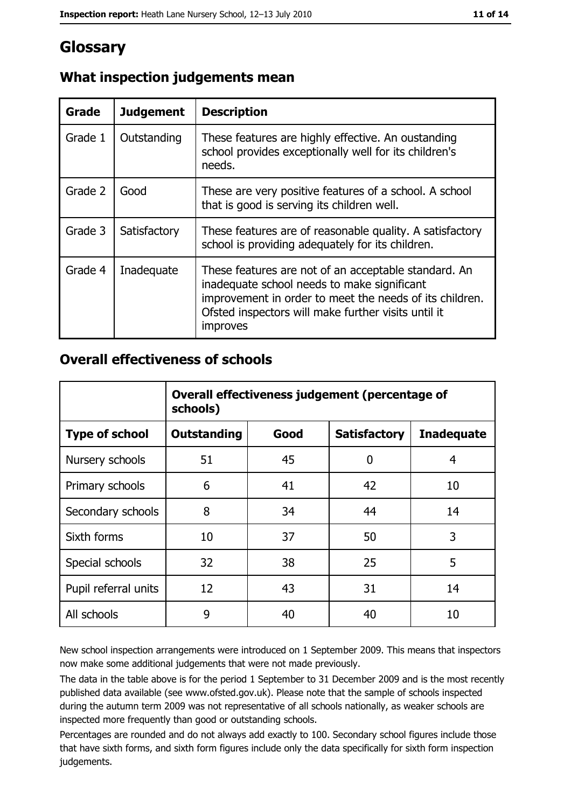# Glossary

| Grade   | <b>Judgement</b> | <b>Description</b>                                                                                                                                                                                                                       |
|---------|------------------|------------------------------------------------------------------------------------------------------------------------------------------------------------------------------------------------------------------------------------------|
| Grade 1 | Outstanding      | These features are highly effective. An oustanding<br>school provides exceptionally well for its children's<br>needs.                                                                                                                    |
| Grade 2 | Good             | These are very positive features of a school. A school<br>that is good is serving its children well.                                                                                                                                     |
| Grade 3 | Satisfactory     | These features are of reasonable quality. A satisfactory<br>school is providing adequately for its children.                                                                                                                             |
| Grade 4 | Inadequate       | These features are not of an acceptable standard. An<br>inadequate school needs to make significant<br>improvement in order to meet the needs of its children.<br>Ofsted inspectors will make further visits until it<br><i>improves</i> |

# What inspection judgements mean

# **Overall effectiveness of schools**

|                       | Overall effectiveness judgement (percentage of<br>schools) |      |                     |                   |
|-----------------------|------------------------------------------------------------|------|---------------------|-------------------|
| <b>Type of school</b> | <b>Outstanding</b>                                         | Good | <b>Satisfactory</b> | <b>Inadequate</b> |
| Nursery schools       | 51                                                         | 45   | $\overline{0}$      | 4                 |
| Primary schools       | 6                                                          | 41   | 42                  | 10                |
| Secondary schools     | 8                                                          | 34   | 44                  | 14                |
| Sixth forms           | 10                                                         | 37   | 50                  | 3                 |
| Special schools       | 32                                                         | 38   | 25                  | 5                 |
| Pupil referral units  | 12                                                         | 43   | 31                  | 14                |
| All schools           | 9                                                          | 40   | 40                  | 10                |

New school inspection arrangements were introduced on 1 September 2009. This means that inspectors now make some additional judgements that were not made previously.

The data in the table above is for the period 1 September to 31 December 2009 and is the most recently published data available (see www.ofsted.gov.uk). Please note that the sample of schools inspected during the autumn term 2009 was not representative of all schools nationally, as weaker schools are inspected more frequently than good or outstanding schools.

Percentages are rounded and do not always add exactly to 100. Secondary school figures include those that have sixth forms, and sixth form figures include only the data specifically for sixth form inspection judgements.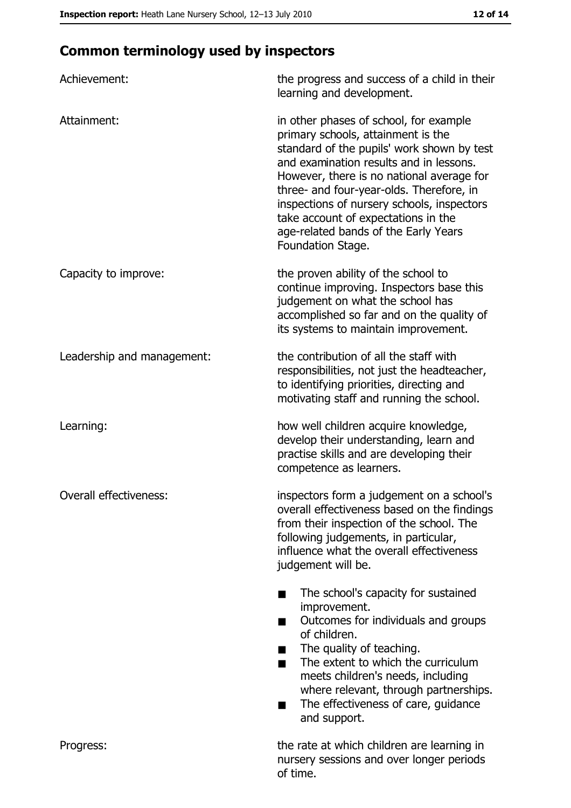# **Common terminology used by inspectors**

| Achievement:               | the progress and success of a child in their<br>learning and development.                                                                                                                                                                                                                                                                                                                                        |
|----------------------------|------------------------------------------------------------------------------------------------------------------------------------------------------------------------------------------------------------------------------------------------------------------------------------------------------------------------------------------------------------------------------------------------------------------|
| Attainment:                | in other phases of school, for example<br>primary schools, attainment is the<br>standard of the pupils' work shown by test<br>and examination results and in lessons.<br>However, there is no national average for<br>three- and four-year-olds. Therefore, in<br>inspections of nursery schools, inspectors<br>take account of expectations in the<br>age-related bands of the Early Years<br>Foundation Stage. |
| Capacity to improve:       | the proven ability of the school to<br>continue improving. Inspectors base this<br>judgement on what the school has<br>accomplished so far and on the quality of<br>its systems to maintain improvement.                                                                                                                                                                                                         |
| Leadership and management: | the contribution of all the staff with<br>responsibilities, not just the headteacher,<br>to identifying priorities, directing and<br>motivating staff and running the school.                                                                                                                                                                                                                                    |
| Learning:                  | how well children acquire knowledge,<br>develop their understanding, learn and<br>practise skills and are developing their<br>competence as learners.                                                                                                                                                                                                                                                            |
| Overall effectiveness:     | inspectors form a judgement on a school's<br>overall effectiveness based on the findings<br>from their inspection of the school. The<br>following judgements, in particular,<br>influence what the overall effectiveness<br>judgement will be.                                                                                                                                                                   |
|                            | The school's capacity for sustained<br>improvement.<br>Outcomes for individuals and groups<br>of children.<br>The quality of teaching.<br>The extent to which the curriculum<br>■<br>meets children's needs, including<br>where relevant, through partnerships.<br>The effectiveness of care, guidance<br>and support.                                                                                           |
| Progress:                  | the rate at which children are learning in<br>nursery sessions and over longer periods<br>of time.                                                                                                                                                                                                                                                                                                               |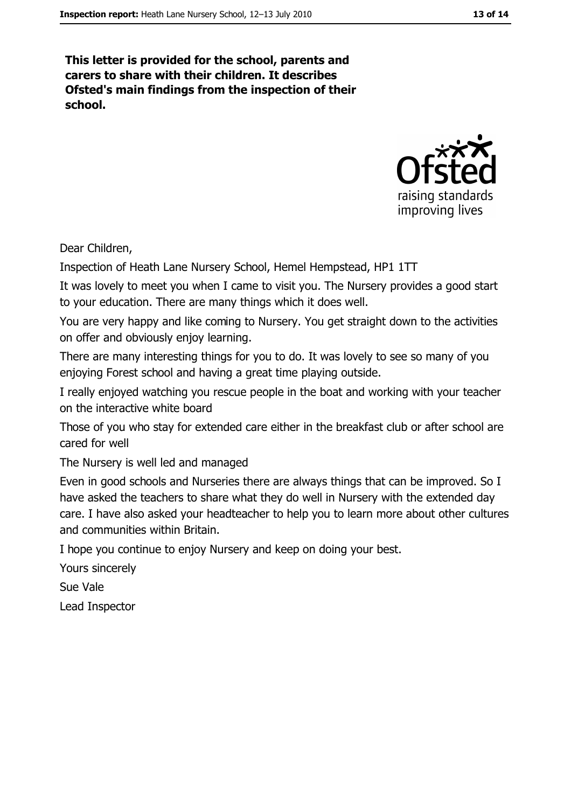This letter is provided for the school, parents and carers to share with their children. It describes Ofsted's main findings from the inspection of their school.



Dear Children,

Inspection of Heath Lane Nursery School, Hemel Hempstead, HP1 1TT

It was lovely to meet you when I came to visit you. The Nursery provides a good start to your education. There are many things which it does well.

You are very happy and like coming to Nursery. You get straight down to the activities on offer and obviously enjoy learning.

There are many interesting things for you to do. It was lovely to see so many of you enjoying Forest school and having a great time playing outside.

I really enjoyed watching you rescue people in the boat and working with your teacher on the interactive white board

Those of you who stay for extended care either in the breakfast club or after school are cared for well

The Nursery is well led and managed

Even in good schools and Nurseries there are always things that can be improved. So I have asked the teachers to share what they do well in Nursery with the extended day care. I have also asked your headteacher to help you to learn more about other cultures and communities within Britain.

I hope you continue to enjoy Nursery and keep on doing your best.

Yours sincerely

Sue Vale

Lead Inspector